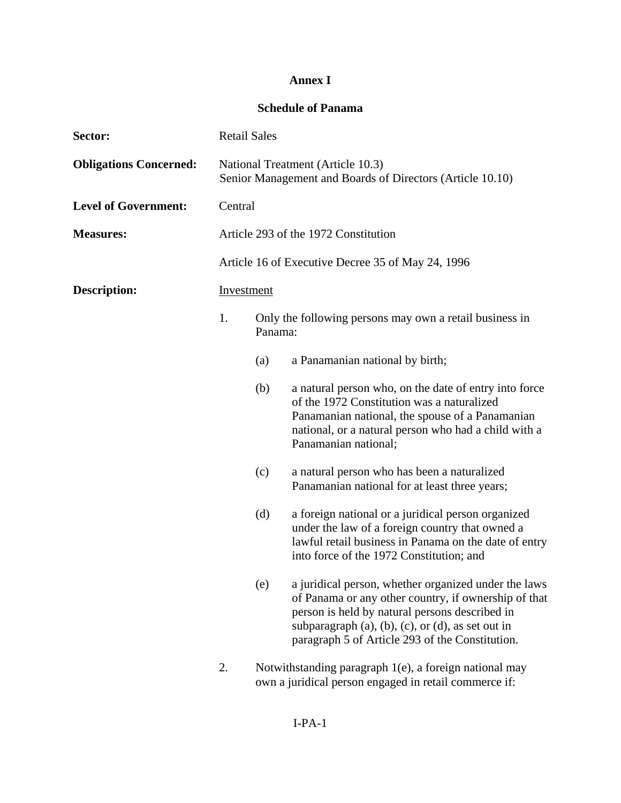## **Annex I**

## **Schedule of Panama**

| Sector:                       | <b>Retail Sales</b> |         |                                                                                                                                                                                                                                                                        |
|-------------------------------|---------------------|---------|------------------------------------------------------------------------------------------------------------------------------------------------------------------------------------------------------------------------------------------------------------------------|
| <b>Obligations Concerned:</b> |                     |         | National Treatment (Article 10.3)<br>Senior Management and Boards of Directors (Article 10.10)                                                                                                                                                                         |
| <b>Level of Government:</b>   | Central             |         |                                                                                                                                                                                                                                                                        |
| <b>Measures:</b>              |                     |         | Article 293 of the 1972 Constitution                                                                                                                                                                                                                                   |
|                               |                     |         | Article 16 of Executive Decree 35 of May 24, 1996                                                                                                                                                                                                                      |
| <b>Description:</b>           | Investment          |         |                                                                                                                                                                                                                                                                        |
|                               | 1.                  | Panama: | Only the following persons may own a retail business in                                                                                                                                                                                                                |
|                               |                     | (a)     | a Panamanian national by birth;                                                                                                                                                                                                                                        |
|                               |                     | (b)     | a natural person who, on the date of entry into force<br>of the 1972 Constitution was a naturalized<br>Panamanian national, the spouse of a Panamanian<br>national, or a natural person who had a child with a<br>Panamanian national;                                 |
|                               |                     | (c)     | a natural person who has been a naturalized<br>Panamanian national for at least three years;                                                                                                                                                                           |
|                               |                     | (d)     | a foreign national or a juridical person organized<br>under the law of a foreign country that owned a<br>lawful retail business in Panama on the date of entry<br>into force of the 1972 Constitution; and                                                             |
|                               |                     | (e)     | a juridical person, whether organized under the laws<br>of Panama or any other country, if ownership of that<br>person is held by natural persons described in<br>subparagraph (a), (b), (c), or (d), as set out in<br>paragraph 5 of Article 293 of the Constitution. |
|                               | 2.                  |         | Notwithstanding paragraph 1(e), a foreign national may<br>own a juridical person engaged in retail commerce if:                                                                                                                                                        |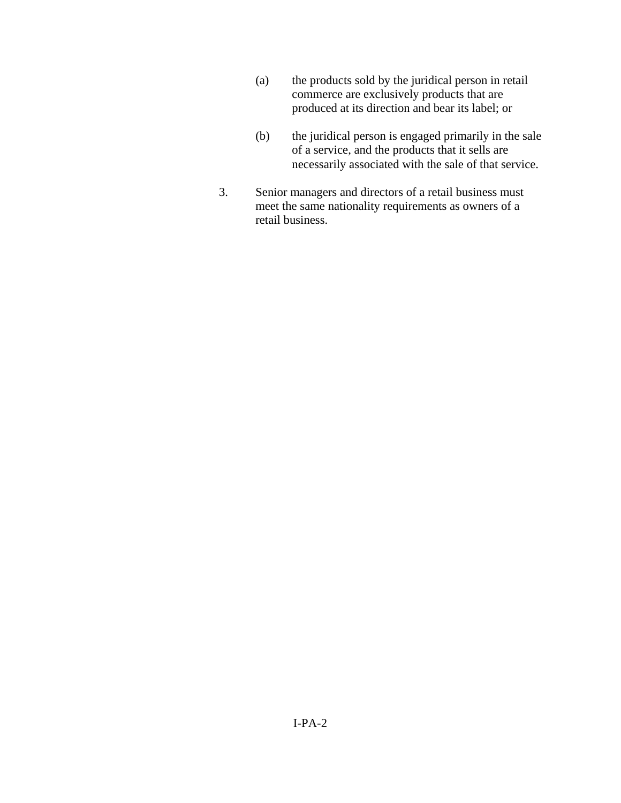- (a) the products sold by the juridical person in retail commerce are exclusively products that are produced at its direction and bear its label; or
- (b) the juridical person is engaged primarily in the sale of a service, and the products that it sells are necessarily associated with the sale of that service.
- 3. Senior managers and directors of a retail business must meet the same nationality requirements as owners of a retail business.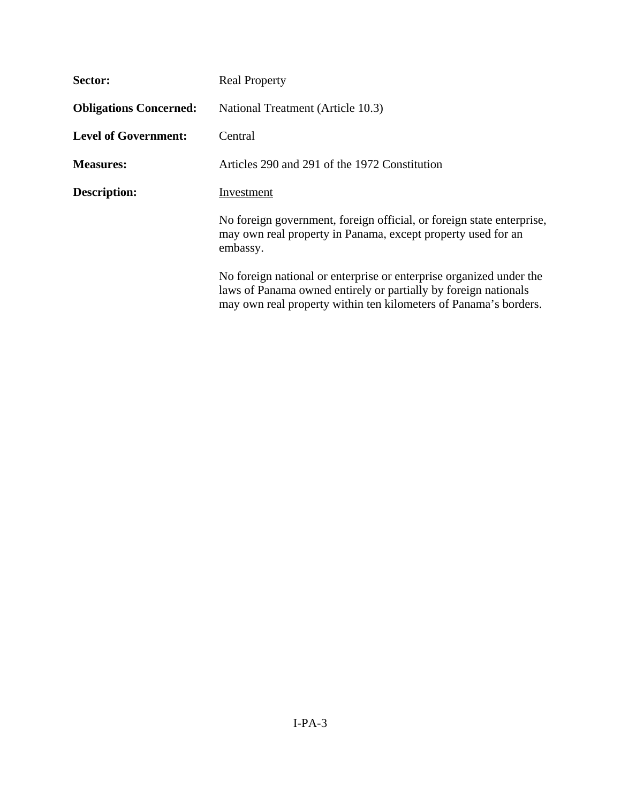| Sector:                       | <b>Real Property</b>                                                                                                                                                                                       |
|-------------------------------|------------------------------------------------------------------------------------------------------------------------------------------------------------------------------------------------------------|
| <b>Obligations Concerned:</b> | National Treatment (Article 10.3)                                                                                                                                                                          |
| <b>Level of Government:</b>   | Central                                                                                                                                                                                                    |
| <b>Measures:</b>              | Articles 290 and 291 of the 1972 Constitution                                                                                                                                                              |
| <b>Description:</b>           | Investment                                                                                                                                                                                                 |
|                               | No foreign government, foreign official, or foreign state enterprise,<br>may own real property in Panama, except property used for an<br>embassy.                                                          |
|                               | No foreign national or enterprise or enterprise organized under the<br>laws of Panama owned entirely or partially by foreign nationals<br>may own real property within ten kilometers of Panama's borders. |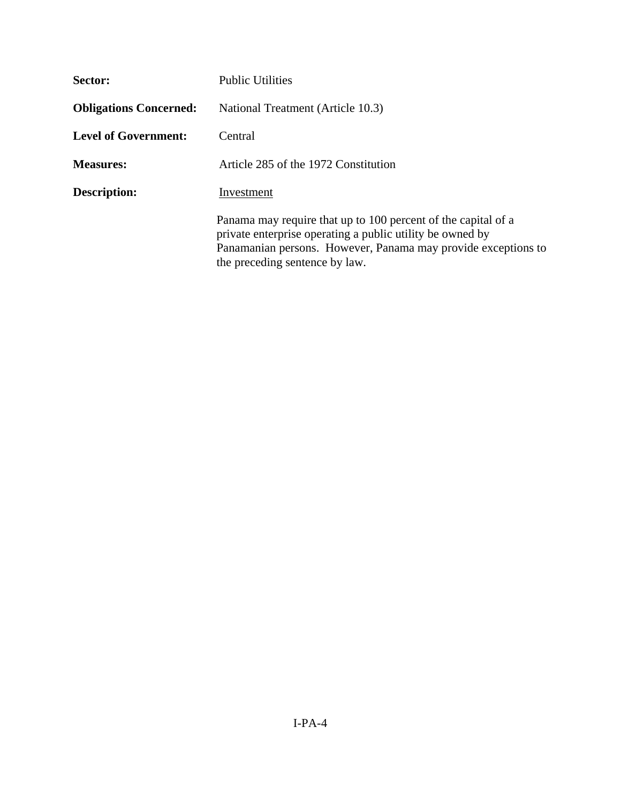| Sector:                       | <b>Public Utilities</b>                                                                                                                                                                                                       |
|-------------------------------|-------------------------------------------------------------------------------------------------------------------------------------------------------------------------------------------------------------------------------|
| <b>Obligations Concerned:</b> | National Treatment (Article 10.3)                                                                                                                                                                                             |
| <b>Level of Government:</b>   | Central                                                                                                                                                                                                                       |
| <b>Measures:</b>              | Article 285 of the 1972 Constitution                                                                                                                                                                                          |
| <b>Description:</b>           | Investment                                                                                                                                                                                                                    |
|                               | Panama may require that up to 100 percent of the capital of a<br>private enterprise operating a public utility be owned by<br>Panamanian persons. However, Panama may provide exceptions to<br>the preceding sentence by law. |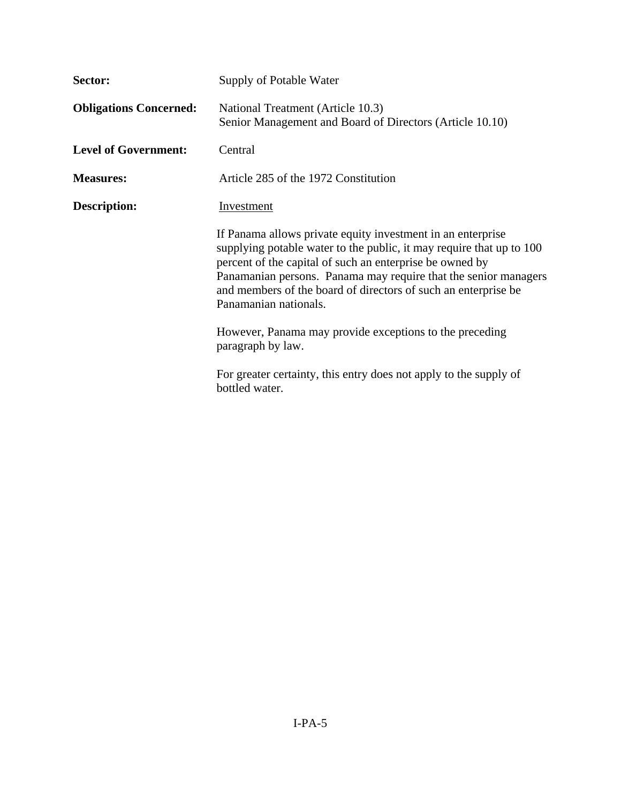| Sector:                       | Supply of Potable Water                                                                                                                                                                                                                                                                                                                                       |
|-------------------------------|---------------------------------------------------------------------------------------------------------------------------------------------------------------------------------------------------------------------------------------------------------------------------------------------------------------------------------------------------------------|
| <b>Obligations Concerned:</b> | National Treatment (Article 10.3)<br>Senior Management and Board of Directors (Article 10.10)                                                                                                                                                                                                                                                                 |
| <b>Level of Government:</b>   | Central                                                                                                                                                                                                                                                                                                                                                       |
| <b>Measures:</b>              | Article 285 of the 1972 Constitution                                                                                                                                                                                                                                                                                                                          |
| <b>Description:</b>           | <b>Investment</b>                                                                                                                                                                                                                                                                                                                                             |
|                               | If Panama allows private equity investment in an enterprise<br>supplying potable water to the public, it may require that up to 100<br>percent of the capital of such an enterprise be owned by<br>Panamanian persons. Panama may require that the senior managers<br>and members of the board of directors of such an enterprise be<br>Panamanian nationals. |
|                               | However, Panama may provide exceptions to the preceding<br>paragraph by law.                                                                                                                                                                                                                                                                                  |
|                               | For greater certainty, this entry does not apply to the supply of<br>bottled water.                                                                                                                                                                                                                                                                           |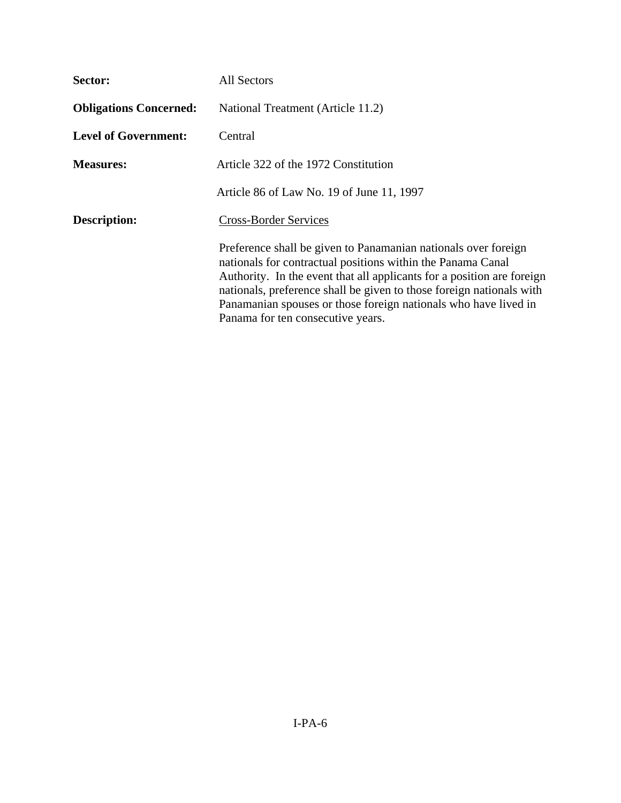| Sector:                       | <b>All Sectors</b>                                                                                                                                                                                                                                                                                                                                                                      |
|-------------------------------|-----------------------------------------------------------------------------------------------------------------------------------------------------------------------------------------------------------------------------------------------------------------------------------------------------------------------------------------------------------------------------------------|
| <b>Obligations Concerned:</b> | National Treatment (Article 11.2)                                                                                                                                                                                                                                                                                                                                                       |
| <b>Level of Government:</b>   | Central                                                                                                                                                                                                                                                                                                                                                                                 |
| <b>Measures:</b>              | Article 322 of the 1972 Constitution                                                                                                                                                                                                                                                                                                                                                    |
|                               | Article 86 of Law No. 19 of June 11, 1997                                                                                                                                                                                                                                                                                                                                               |
| <b>Description:</b>           | <b>Cross-Border Services</b>                                                                                                                                                                                                                                                                                                                                                            |
|                               | Preference shall be given to Panamanian nationals over foreign<br>nationals for contractual positions within the Panama Canal<br>Authority. In the event that all applicants for a position are foreign<br>nationals, preference shall be given to those foreign nationals with<br>Panamanian spouses or those foreign nationals who have lived in<br>Panama for ten consecutive years. |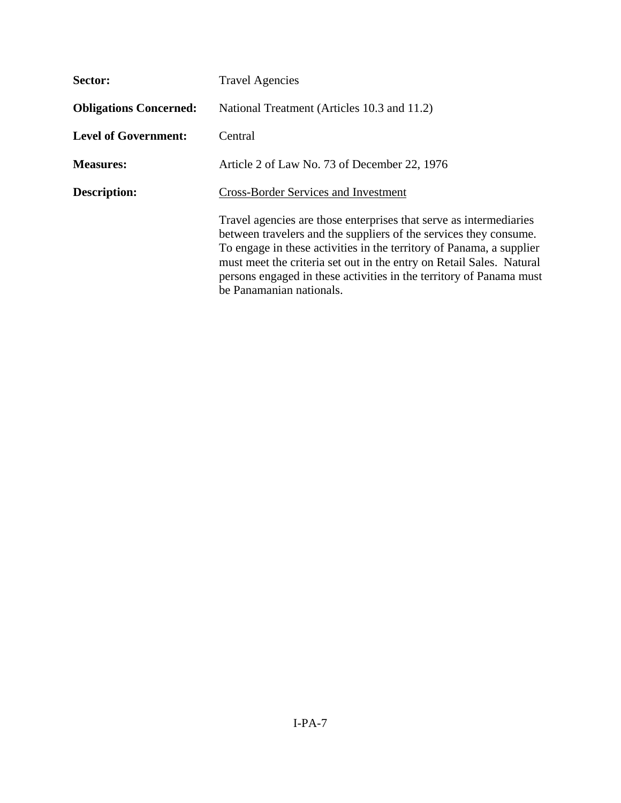| Sector:                       | <b>Travel Agencies</b>                                                                                                                                                                                                                                                                                                                                                                     |
|-------------------------------|--------------------------------------------------------------------------------------------------------------------------------------------------------------------------------------------------------------------------------------------------------------------------------------------------------------------------------------------------------------------------------------------|
| <b>Obligations Concerned:</b> | National Treatment (Articles 10.3 and 11.2)                                                                                                                                                                                                                                                                                                                                                |
| <b>Level of Government:</b>   | Central                                                                                                                                                                                                                                                                                                                                                                                    |
| <b>Measures:</b>              | Article 2 of Law No. 73 of December 22, 1976                                                                                                                                                                                                                                                                                                                                               |
| <b>Description:</b>           | <b>Cross-Border Services and Investment</b>                                                                                                                                                                                                                                                                                                                                                |
|                               | Travel agencies are those enterprises that serve as intermediaries<br>between travelers and the suppliers of the services they consume.<br>To engage in these activities in the territory of Panama, a supplier<br>must meet the criteria set out in the entry on Retail Sales. Natural<br>persons engaged in these activities in the territory of Panama must<br>be Panamanian nationals. |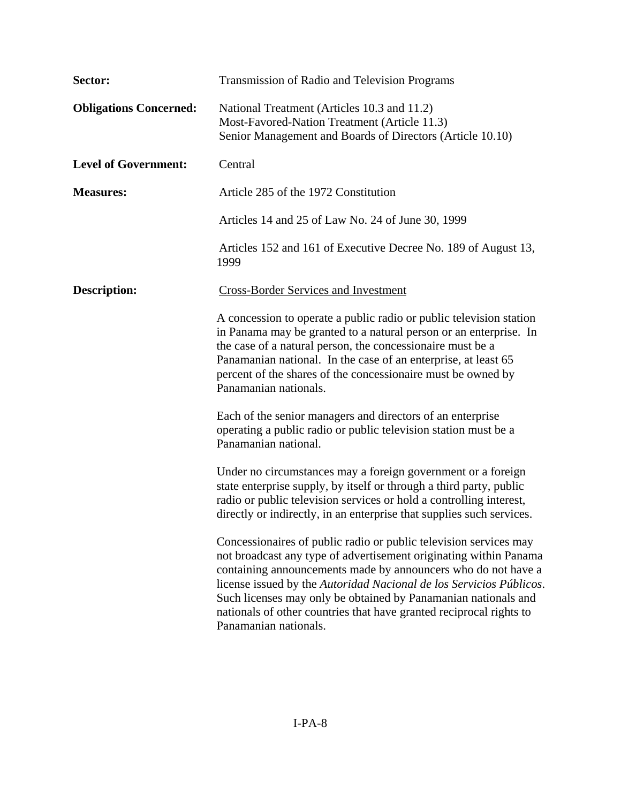| Sector:                       | <b>Transmission of Radio and Television Programs</b>                                                                                                                                                                                                                                                                                                                                                                                             |
|-------------------------------|--------------------------------------------------------------------------------------------------------------------------------------------------------------------------------------------------------------------------------------------------------------------------------------------------------------------------------------------------------------------------------------------------------------------------------------------------|
| <b>Obligations Concerned:</b> | National Treatment (Articles 10.3 and 11.2)<br>Most-Favored-Nation Treatment (Article 11.3)<br>Senior Management and Boards of Directors (Article 10.10)                                                                                                                                                                                                                                                                                         |
| <b>Level of Government:</b>   | Central                                                                                                                                                                                                                                                                                                                                                                                                                                          |
| <b>Measures:</b>              | Article 285 of the 1972 Constitution                                                                                                                                                                                                                                                                                                                                                                                                             |
|                               | Articles 14 and 25 of Law No. 24 of June 30, 1999                                                                                                                                                                                                                                                                                                                                                                                                |
|                               | Articles 152 and 161 of Executive Decree No. 189 of August 13,<br>1999                                                                                                                                                                                                                                                                                                                                                                           |
| <b>Description:</b>           | <b>Cross-Border Services and Investment</b>                                                                                                                                                                                                                                                                                                                                                                                                      |
|                               | A concession to operate a public radio or public television station<br>in Panama may be granted to a natural person or an enterprise. In<br>the case of a natural person, the concessionaire must be a<br>Panamanian national. In the case of an enterprise, at least 65<br>percent of the shares of the concessionaire must be owned by<br>Panamanian nationals.                                                                                |
|                               | Each of the senior managers and directors of an enterprise<br>operating a public radio or public television station must be a<br>Panamanian national.                                                                                                                                                                                                                                                                                            |
|                               | Under no circumstances may a foreign government or a foreign<br>state enterprise supply, by itself or through a third party, public<br>radio or public television services or hold a controlling interest,<br>directly or indirectly, in an enterprise that supplies such services.                                                                                                                                                              |
|                               | Concessionaires of public radio or public television services may<br>not broadcast any type of advertisement originating within Panama<br>containing announcements made by announcers who do not have a<br>license issued by the Autoridad Nacional de los Servicios Públicos.<br>Such licenses may only be obtained by Panamanian nationals and<br>nationals of other countries that have granted reciprocal rights to<br>Panamanian nationals. |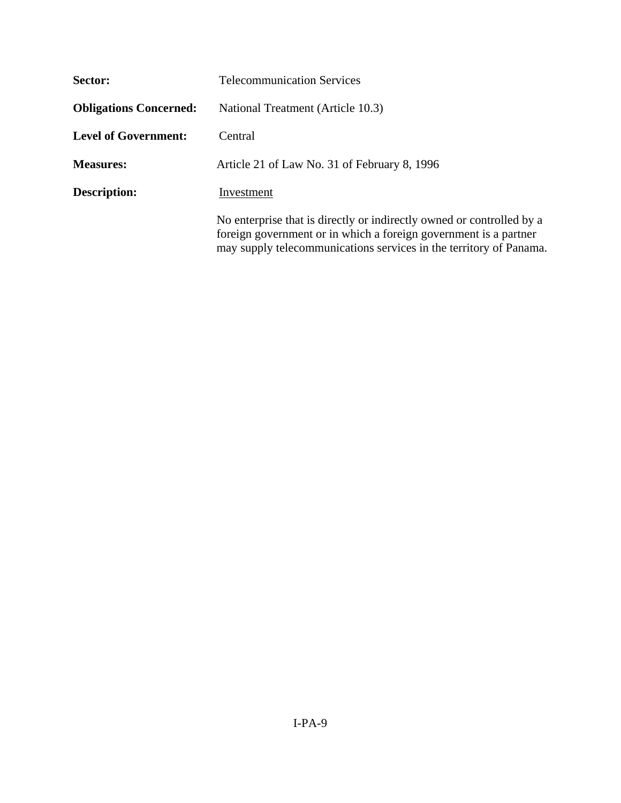| Sector:                       | <b>Telecommunication Services</b>                                                                                                                                                                               |
|-------------------------------|-----------------------------------------------------------------------------------------------------------------------------------------------------------------------------------------------------------------|
| <b>Obligations Concerned:</b> | National Treatment (Article 10.3)                                                                                                                                                                               |
| <b>Level of Government:</b>   | Central                                                                                                                                                                                                         |
| <b>Measures:</b>              | Article 21 of Law No. 31 of February 8, 1996                                                                                                                                                                    |
| <b>Description:</b>           | Investment                                                                                                                                                                                                      |
|                               | No enterprise that is directly or indirectly owned or controlled by a<br>foreign government or in which a foreign government is a partner<br>may supply telecommunications services in the territory of Panama. |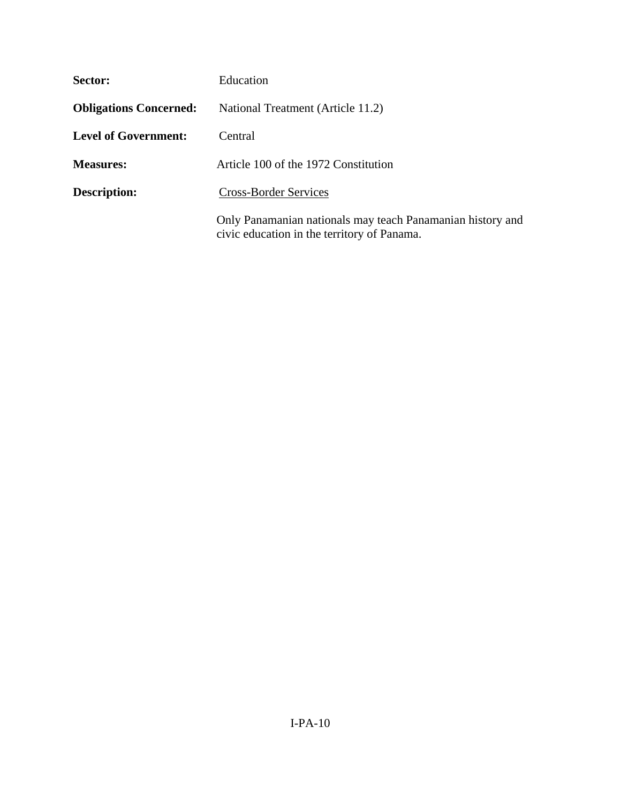| Sector:                       | Education                                                                                                 |
|-------------------------------|-----------------------------------------------------------------------------------------------------------|
| <b>Obligations Concerned:</b> | National Treatment (Article 11.2)                                                                         |
| <b>Level of Government:</b>   | Central                                                                                                   |
| <b>Measures:</b>              | Article 100 of the 1972 Constitution                                                                      |
| <b>Description:</b>           | <b>Cross-Border Services</b>                                                                              |
|                               | Only Panamanian nationals may teach Panamanian history and<br>civic education in the territory of Panama. |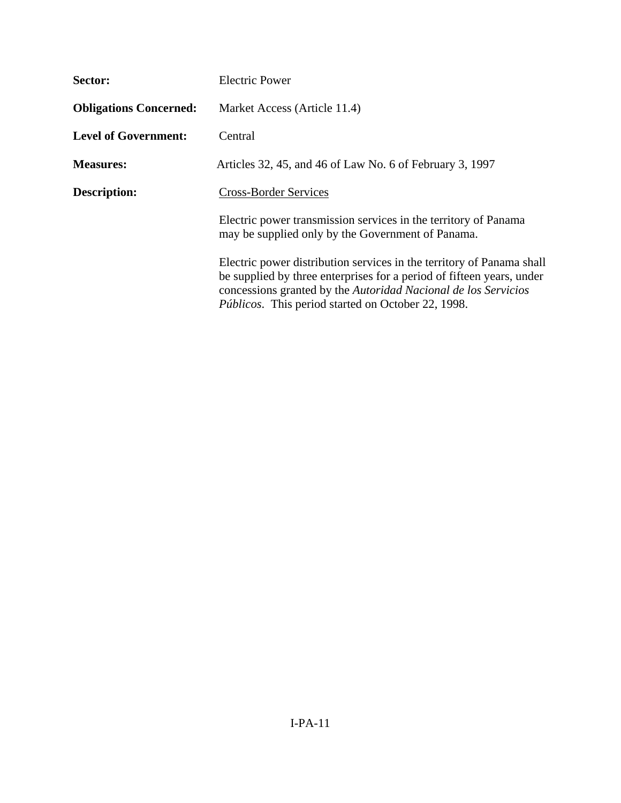| Sector:                       | <b>Electric Power</b>                                                                                                                                                                                                                                                         |
|-------------------------------|-------------------------------------------------------------------------------------------------------------------------------------------------------------------------------------------------------------------------------------------------------------------------------|
| <b>Obligations Concerned:</b> | Market Access (Article 11.4)                                                                                                                                                                                                                                                  |
| <b>Level of Government:</b>   | Central                                                                                                                                                                                                                                                                       |
| <b>Measures:</b>              | Articles 32, 45, and 46 of Law No. 6 of February 3, 1997                                                                                                                                                                                                                      |
| <b>Description:</b>           | <b>Cross-Border Services</b>                                                                                                                                                                                                                                                  |
|                               | Electric power transmission services in the territory of Panama<br>may be supplied only by the Government of Panama.                                                                                                                                                          |
|                               | Electric power distribution services in the territory of Panama shall<br>be supplied by three enterprises for a period of fifteen years, under<br>concessions granted by the Autoridad Nacional de los Servicios<br><i>Públicos.</i> This period started on October 22, 1998. |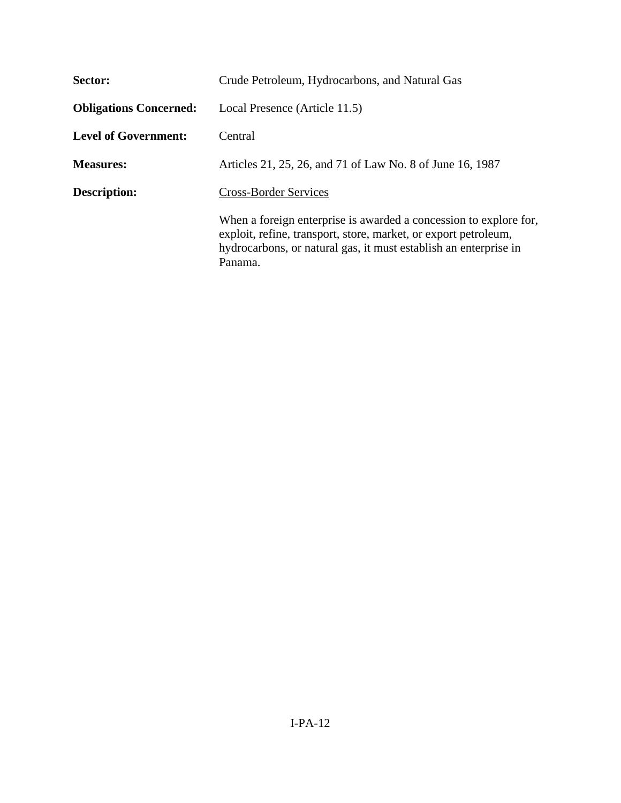| Sector:                       | Crude Petroleum, Hydrocarbons, and Natural Gas                                                                                                                                                                      |
|-------------------------------|---------------------------------------------------------------------------------------------------------------------------------------------------------------------------------------------------------------------|
| <b>Obligations Concerned:</b> | Local Presence (Article 11.5)                                                                                                                                                                                       |
| <b>Level of Government:</b>   | Central                                                                                                                                                                                                             |
| <b>Measures:</b>              | Articles 21, 25, 26, and 71 of Law No. 8 of June 16, 1987                                                                                                                                                           |
| Description:                  | <b>Cross-Border Services</b>                                                                                                                                                                                        |
|                               | When a foreign enterprise is awarded a concession to explore for,<br>exploit, refine, transport, store, market, or export petroleum,<br>hydrocarbons, or natural gas, it must establish an enterprise in<br>Panama. |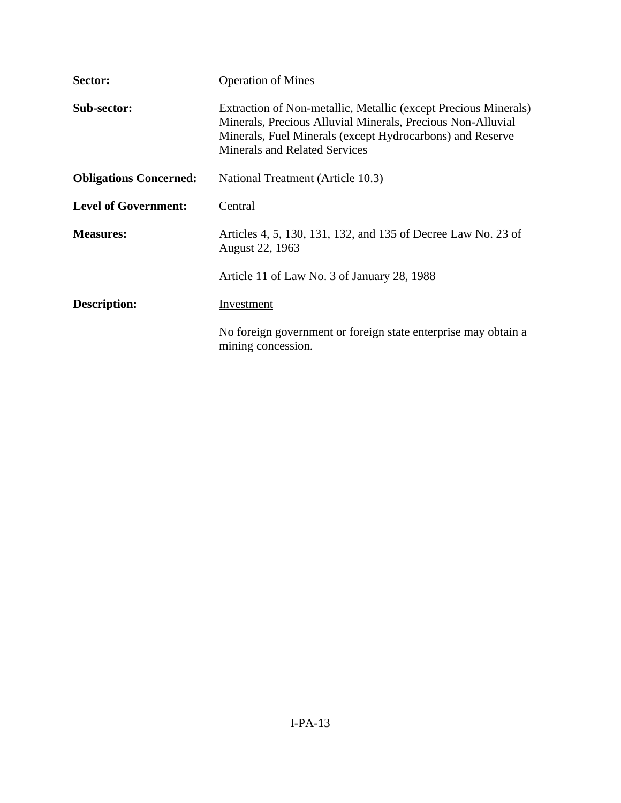| Sector:                       | <b>Operation of Mines</b>                                                                                                                                                                                                           |
|-------------------------------|-------------------------------------------------------------------------------------------------------------------------------------------------------------------------------------------------------------------------------------|
| Sub-sector:                   | Extraction of Non-metallic, Metallic (except Precious Minerals)<br>Minerals, Precious Alluvial Minerals, Precious Non-Alluvial<br>Minerals, Fuel Minerals (except Hydrocarbons) and Reserve<br><b>Minerals and Related Services</b> |
| <b>Obligations Concerned:</b> | National Treatment (Article 10.3)                                                                                                                                                                                                   |
| <b>Level of Government:</b>   | Central                                                                                                                                                                                                                             |
| <b>Measures:</b>              | Articles 4, 5, 130, 131, 132, and 135 of Decree Law No. 23 of<br>August 22, 1963                                                                                                                                                    |
|                               | Article 11 of Law No. 3 of January 28, 1988                                                                                                                                                                                         |
| Description:                  | Investment                                                                                                                                                                                                                          |
|                               | No foreign government or foreign state enterprise may obtain a<br>mining concession.                                                                                                                                                |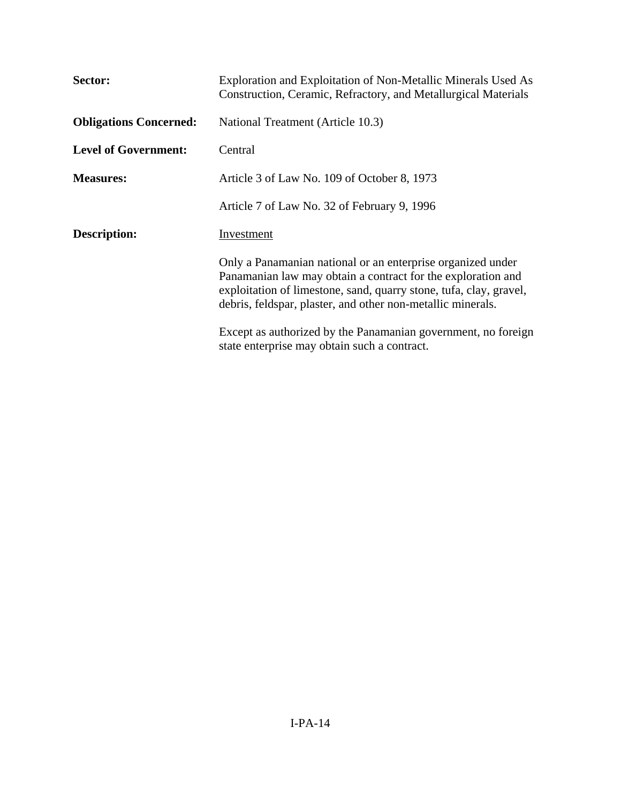| Sector:                       | Exploration and Exploitation of Non-Metallic Minerals Used As<br>Construction, Ceramic, Refractory, and Metallurgical Materials                                                                                                                                  |  |  |
|-------------------------------|------------------------------------------------------------------------------------------------------------------------------------------------------------------------------------------------------------------------------------------------------------------|--|--|
| <b>Obligations Concerned:</b> | National Treatment (Article 10.3)                                                                                                                                                                                                                                |  |  |
| <b>Level of Government:</b>   | Central                                                                                                                                                                                                                                                          |  |  |
| <b>Measures:</b>              | Article 3 of Law No. 109 of October 8, 1973                                                                                                                                                                                                                      |  |  |
|                               | Article 7 of Law No. 32 of February 9, 1996                                                                                                                                                                                                                      |  |  |
| <b>Description:</b>           | Investment                                                                                                                                                                                                                                                       |  |  |
|                               | Only a Panamanian national or an enterprise organized under<br>Panamanian law may obtain a contract for the exploration and<br>exploitation of limestone, sand, quarry stone, tufa, clay, gravel,<br>debris, feldspar, plaster, and other non-metallic minerals. |  |  |
|                               | Except as authorized by the Panamanian government, no foreign<br>state enterprise may obtain such a contract.                                                                                                                                                    |  |  |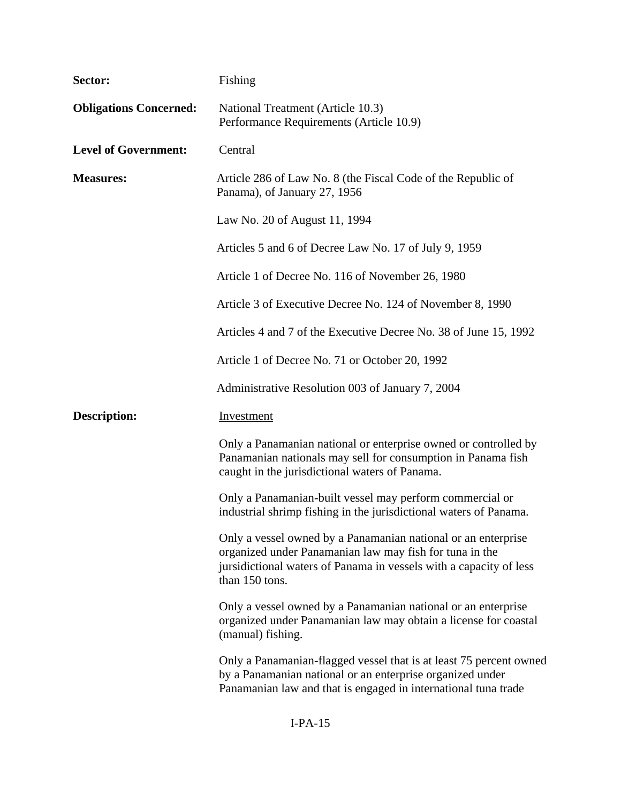| Sector:                       | Fishing                                                                                                                                                                                                          |  |  |
|-------------------------------|------------------------------------------------------------------------------------------------------------------------------------------------------------------------------------------------------------------|--|--|
| <b>Obligations Concerned:</b> | National Treatment (Article 10.3)<br>Performance Requirements (Article 10.9)                                                                                                                                     |  |  |
| <b>Level of Government:</b>   | Central                                                                                                                                                                                                          |  |  |
| <b>Measures:</b>              | Article 286 of Law No. 8 (the Fiscal Code of the Republic of<br>Panama), of January 27, 1956                                                                                                                     |  |  |
|                               | Law No. 20 of August 11, 1994                                                                                                                                                                                    |  |  |
|                               | Articles 5 and 6 of Decree Law No. 17 of July 9, 1959                                                                                                                                                            |  |  |
|                               | Article 1 of Decree No. 116 of November 26, 1980                                                                                                                                                                 |  |  |
|                               | Article 3 of Executive Decree No. 124 of November 8, 1990                                                                                                                                                        |  |  |
|                               | Articles 4 and 7 of the Executive Decree No. 38 of June 15, 1992                                                                                                                                                 |  |  |
|                               | Article 1 of Decree No. 71 or October 20, 1992                                                                                                                                                                   |  |  |
|                               | Administrative Resolution 003 of January 7, 2004                                                                                                                                                                 |  |  |
| <b>Description:</b>           | Investment                                                                                                                                                                                                       |  |  |
|                               | Only a Panamanian national or enterprise owned or controlled by<br>Panamanian nationals may sell for consumption in Panama fish<br>caught in the jurisdictional waters of Panama.                                |  |  |
|                               | Only a Panamanian-built vessel may perform commercial or<br>industrial shrimp fishing in the jurisdictional waters of Panama.                                                                                    |  |  |
|                               | Only a vessel owned by a Panamanian national or an enterprise<br>organized under Panamanian law may fish for tuna in the<br>jursidictional waters of Panama in vessels with a capacity of less<br>than 150 tons. |  |  |
|                               | Only a vessel owned by a Panamanian national or an enterprise<br>organized under Panamanian law may obtain a license for coastal<br>(manual) fishing.                                                            |  |  |
|                               | Only a Panamanian-flagged vessel that is at least 75 percent owned<br>by a Panamanian national or an enterprise organized under<br>Panamanian law and that is engaged in international tuna trade                |  |  |
|                               |                                                                                                                                                                                                                  |  |  |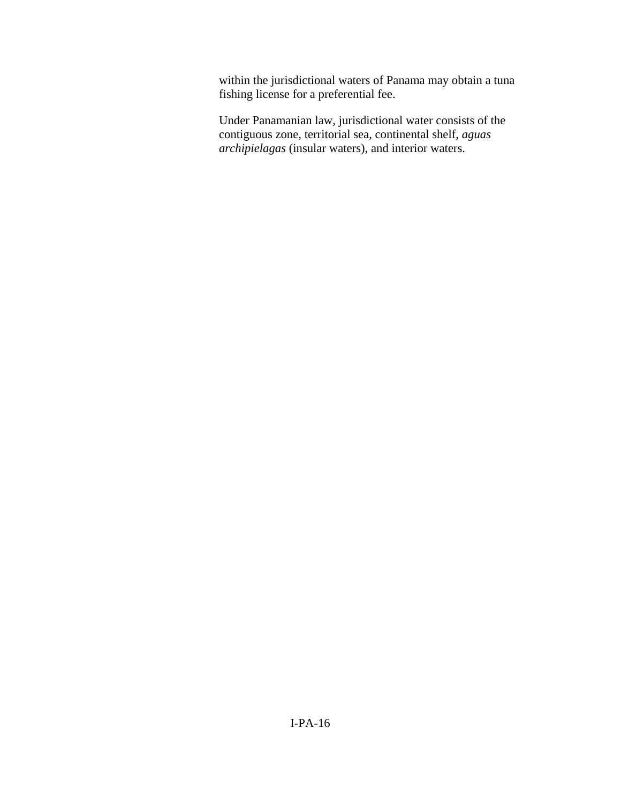within the jurisdictional waters of Panama may obtain a tuna fishing license for a preferential fee.

Under Panamanian law, jurisdictional water consists of the contiguous zone, territorial sea, continental shelf, *aguas archipielagas* (insular waters), and interior waters.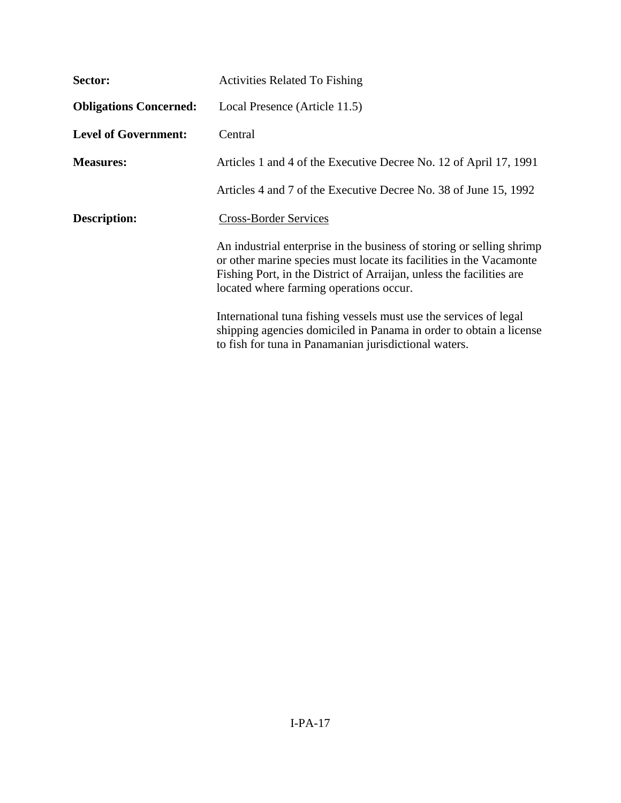| Sector:                       | <b>Activities Related To Fishing</b>                                                                                                                                                                                                                            |  |  |
|-------------------------------|-----------------------------------------------------------------------------------------------------------------------------------------------------------------------------------------------------------------------------------------------------------------|--|--|
| <b>Obligations Concerned:</b> | Local Presence (Article 11.5)                                                                                                                                                                                                                                   |  |  |
| <b>Level of Government:</b>   | Central                                                                                                                                                                                                                                                         |  |  |
| <b>Measures:</b>              | Articles 1 and 4 of the Executive Decree No. 12 of April 17, 1991                                                                                                                                                                                               |  |  |
|                               | Articles 4 and 7 of the Executive Decree No. 38 of June 15, 1992                                                                                                                                                                                                |  |  |
| <b>Description:</b>           | <b>Cross-Border Services</b>                                                                                                                                                                                                                                    |  |  |
|                               | An industrial enterprise in the business of storing or selling shrimp<br>or other marine species must locate its facilities in the Vacamonte<br>Fishing Port, in the District of Arraijan, unless the facilities are<br>located where farming operations occur. |  |  |
|                               | International tuna fishing vessels must use the services of legal<br>shipping agencies domiciled in Panama in order to obtain a license<br>to fish for tuna in Panamanian jurisdictional waters.                                                                |  |  |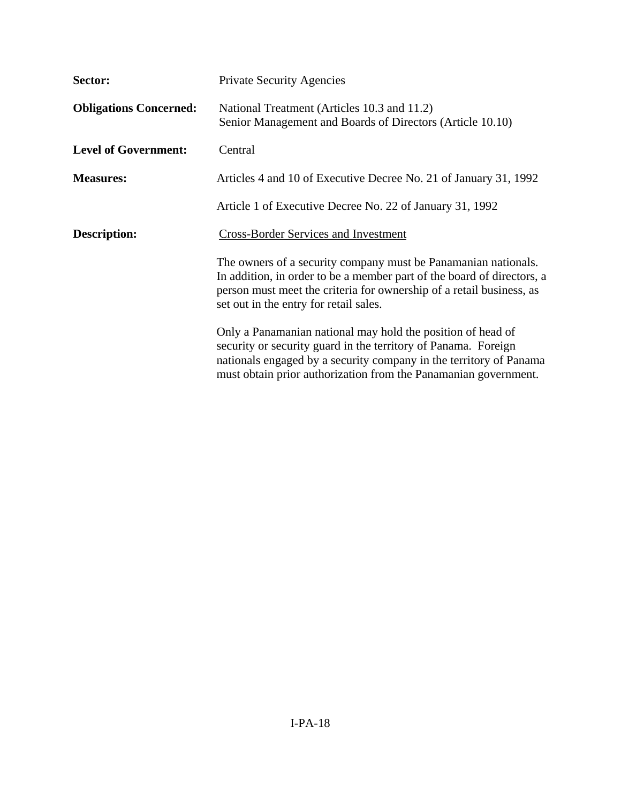| Sector:                       | <b>Private Security Agencies</b><br>National Treatment (Articles 10.3 and 11.2)<br>Senior Management and Boards of Directors (Article 10.10)                                                                                                                           |  |  |  |
|-------------------------------|------------------------------------------------------------------------------------------------------------------------------------------------------------------------------------------------------------------------------------------------------------------------|--|--|--|
| <b>Obligations Concerned:</b> |                                                                                                                                                                                                                                                                        |  |  |  |
| <b>Level of Government:</b>   | Central                                                                                                                                                                                                                                                                |  |  |  |
| <b>Measures:</b>              | Articles 4 and 10 of Executive Decree No. 21 of January 31, 1992                                                                                                                                                                                                       |  |  |  |
|                               | Article 1 of Executive Decree No. 22 of January 31, 1992                                                                                                                                                                                                               |  |  |  |
| <b>Description:</b>           | <b>Cross-Border Services and Investment</b>                                                                                                                                                                                                                            |  |  |  |
|                               | The owners of a security company must be Panamanian nationals.<br>In addition, in order to be a member part of the board of directors, a<br>person must meet the criteria for ownership of a retail business, as<br>set out in the entry for retail sales.             |  |  |  |
|                               | Only a Panamanian national may hold the position of head of<br>security or security guard in the territory of Panama. Foreign<br>nationals engaged by a security company in the territory of Panama<br>must obtain prior authorization from the Panamanian government. |  |  |  |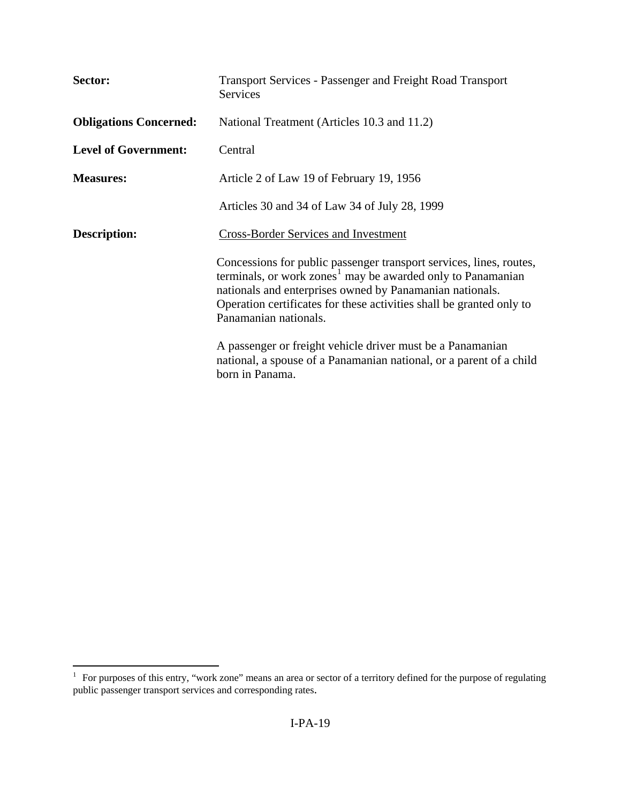| Sector:                       | <b>Transport Services - Passenger and Freight Road Transport</b><br><b>Services</b>                                                                                                                                                                                                                         |  |  |
|-------------------------------|-------------------------------------------------------------------------------------------------------------------------------------------------------------------------------------------------------------------------------------------------------------------------------------------------------------|--|--|
| <b>Obligations Concerned:</b> | National Treatment (Articles 10.3 and 11.2)                                                                                                                                                                                                                                                                 |  |  |
| <b>Level of Government:</b>   | Central                                                                                                                                                                                                                                                                                                     |  |  |
| <b>Measures:</b>              | Article 2 of Law 19 of February 19, 1956                                                                                                                                                                                                                                                                    |  |  |
|                               | Articles 30 and 34 of Law 34 of July 28, 1999                                                                                                                                                                                                                                                               |  |  |
| <b>Description:</b>           | <b>Cross-Border Services and Investment</b>                                                                                                                                                                                                                                                                 |  |  |
|                               | Concessions for public passenger transport services, lines, routes,<br>terminals, or work zones <sup>1</sup> may be awarded only to Panamanian<br>nationals and enterprises owned by Panamanian nationals.<br>Operation certificates for these activities shall be granted only to<br>Panamanian nationals. |  |  |
|                               | A passenger or freight vehicle driver must be a Panamanian<br>national, a spouse of a Panamanian national, or a parent of a child<br>born in Panama.                                                                                                                                                        |  |  |

<span id="page-18-0"></span> 1 For purposes of this entry, "work zone" means an area or sector of a territory defined for the purpose of regulating public passenger transport services and corresponding rates.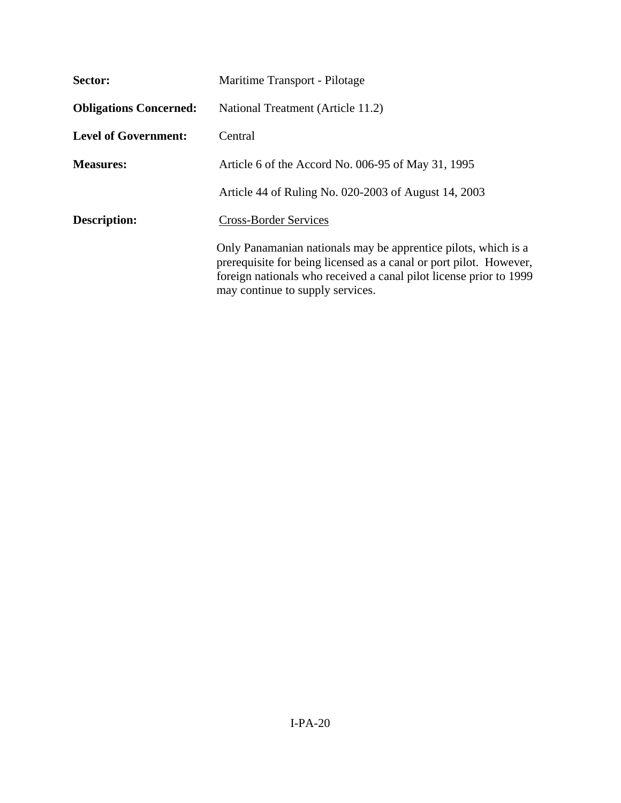| Sector:                       | Maritime Transport - Pilotage                                                                                                                                                                                                                  |  |  |
|-------------------------------|------------------------------------------------------------------------------------------------------------------------------------------------------------------------------------------------------------------------------------------------|--|--|
| <b>Obligations Concerned:</b> | National Treatment (Article 11.2)                                                                                                                                                                                                              |  |  |
| <b>Level of Government:</b>   | Central                                                                                                                                                                                                                                        |  |  |
| <b>Measures:</b>              | Article 6 of the Accord No. 006-95 of May 31, 1995                                                                                                                                                                                             |  |  |
|                               | Article 44 of Ruling No. 020-2003 of August 14, 2003                                                                                                                                                                                           |  |  |
| <b>Description:</b>           | <b>Cross-Border Services</b>                                                                                                                                                                                                                   |  |  |
|                               | Only Panamanian nationals may be apprentice pilots, which is a<br>prerequisite for being licensed as a canal or port pilot. However,<br>foreign nationals who received a canal pilot license prior to 1999<br>may continue to supply services. |  |  |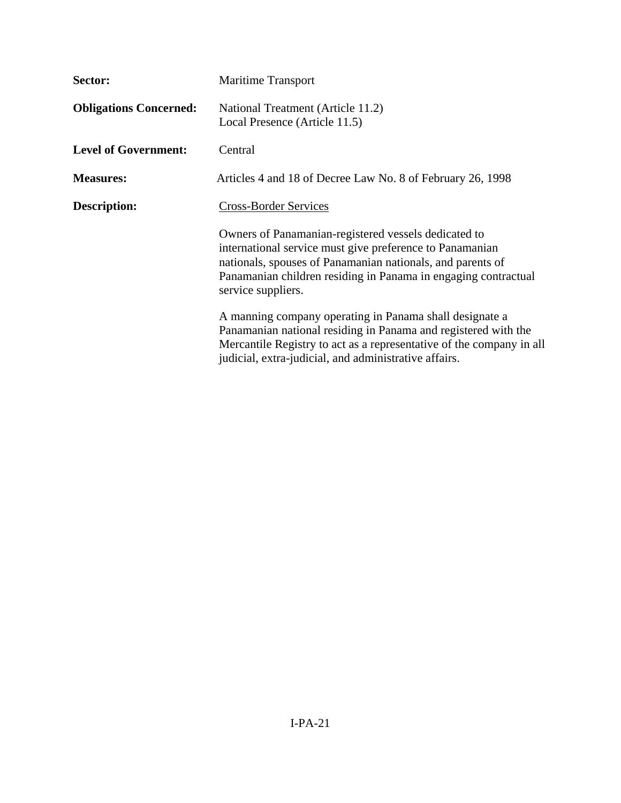| Sector:                       | <b>Maritime Transport</b><br>National Treatment (Article 11.2)<br>Local Presence (Article 11.5)                                                                                                                                                                        |  |  |
|-------------------------------|------------------------------------------------------------------------------------------------------------------------------------------------------------------------------------------------------------------------------------------------------------------------|--|--|
| <b>Obligations Concerned:</b> |                                                                                                                                                                                                                                                                        |  |  |
| <b>Level of Government:</b>   | Central                                                                                                                                                                                                                                                                |  |  |
| <b>Measures:</b>              | Articles 4 and 18 of Decree Law No. 8 of February 26, 1998                                                                                                                                                                                                             |  |  |
| Description:                  | <b>Cross-Border Services</b>                                                                                                                                                                                                                                           |  |  |
|                               | Owners of Panamanian-registered vessels dedicated to<br>international service must give preference to Panamanian<br>nationals, spouses of Panamanian nationals, and parents of<br>Panamanian children residing in Panama in engaging contractual<br>service suppliers. |  |  |
|                               | A manning company operating in Panama shall designate a<br>Panamanian national residing in Panama and registered with the<br>Mercantile Registry to act as a representative of the company in all<br>judicial, extra-judicial, and administrative affairs.             |  |  |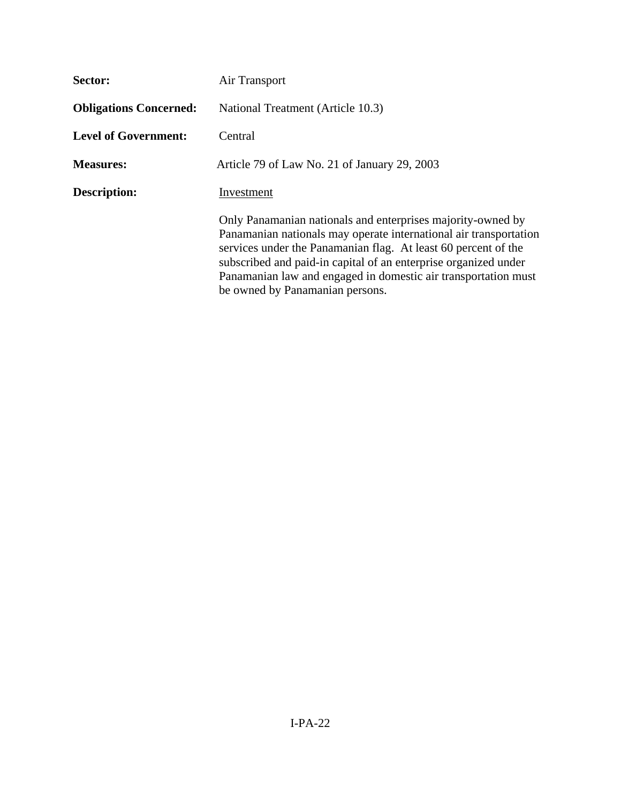| Sector:                       | Air Transport                                                                                                                                                                                                                                                                                                                                                              |  |  |  |
|-------------------------------|----------------------------------------------------------------------------------------------------------------------------------------------------------------------------------------------------------------------------------------------------------------------------------------------------------------------------------------------------------------------------|--|--|--|
| <b>Obligations Concerned:</b> | National Treatment (Article 10.3)                                                                                                                                                                                                                                                                                                                                          |  |  |  |
| <b>Level of Government:</b>   | Central                                                                                                                                                                                                                                                                                                                                                                    |  |  |  |
| <b>Measures:</b>              | Article 79 of Law No. 21 of January 29, 2003                                                                                                                                                                                                                                                                                                                               |  |  |  |
| <b>Description:</b>           | Investment                                                                                                                                                                                                                                                                                                                                                                 |  |  |  |
|                               | Only Panamanian nationals and enterprises majority-owned by<br>Panamanian nationals may operate international air transportation<br>services under the Panamanian flag. At least 60 percent of the<br>subscribed and paid-in capital of an enterprise organized under<br>Panamanian law and engaged in domestic air transportation must<br>be owned by Panamanian persons. |  |  |  |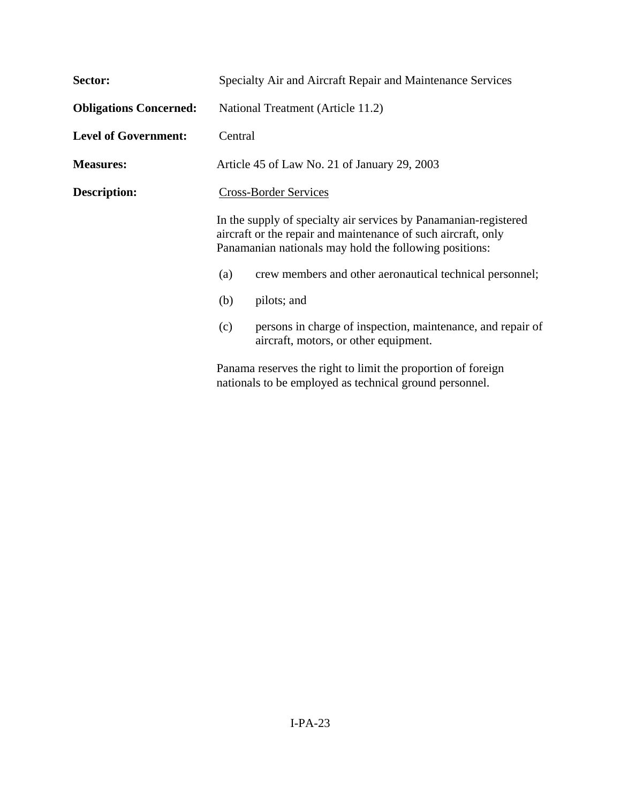| Sector:                       | Specialty Air and Aircraft Repair and Maintenance Services                                                                                                                                                                                                                                     |  |  |
|-------------------------------|------------------------------------------------------------------------------------------------------------------------------------------------------------------------------------------------------------------------------------------------------------------------------------------------|--|--|
| <b>Obligations Concerned:</b> | National Treatment (Article 11.2)                                                                                                                                                                                                                                                              |  |  |
| <b>Level of Government:</b>   | Central                                                                                                                                                                                                                                                                                        |  |  |
| <b>Measures:</b>              | Article 45 of Law No. 21 of January 29, 2003                                                                                                                                                                                                                                                   |  |  |
| <b>Description:</b>           | <b>Cross-Border Services</b><br>In the supply of specialty air services by Panamanian-registered<br>aircraft or the repair and maintenance of such aircraft, only<br>Panamanian nationals may hold the following positions:<br>crew members and other aeronautical technical personnel;<br>(a) |  |  |
|                               |                                                                                                                                                                                                                                                                                                |  |  |
|                               |                                                                                                                                                                                                                                                                                                |  |  |
|                               | pilots; and<br>(b)                                                                                                                                                                                                                                                                             |  |  |
|                               | persons in charge of inspection, maintenance, and repair of<br>(c)<br>aircraft, motors, or other equipment.                                                                                                                                                                                    |  |  |
|                               | Panama reserves the right to limit the proportion of foreign                                                                                                                                                                                                                                   |  |  |

nationals to be employed as technical ground personnel.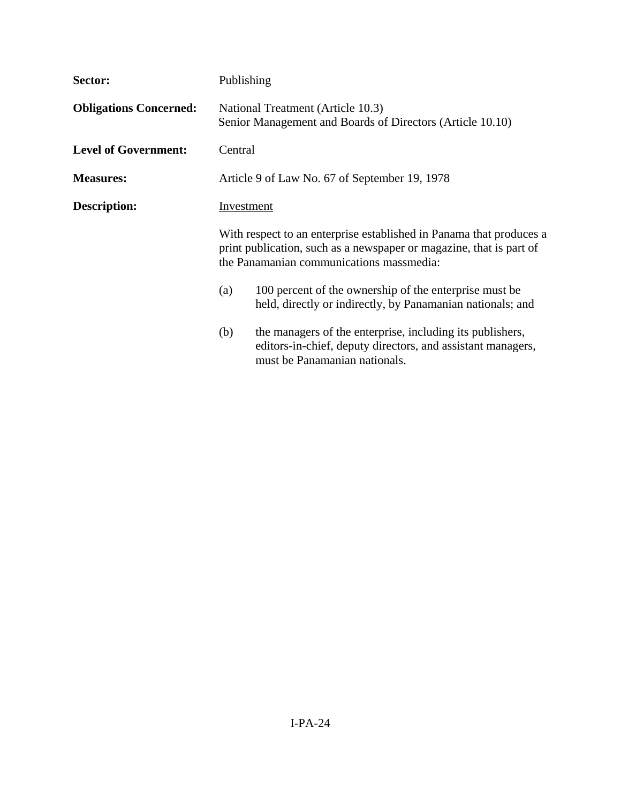| Sector:                       |                                                                                                | Publishing                                                                                                                                                                             |  |  |
|-------------------------------|------------------------------------------------------------------------------------------------|----------------------------------------------------------------------------------------------------------------------------------------------------------------------------------------|--|--|
| <b>Obligations Concerned:</b> | National Treatment (Article 10.3)<br>Senior Management and Boards of Directors (Article 10.10) |                                                                                                                                                                                        |  |  |
| <b>Level of Government:</b>   |                                                                                                | Central                                                                                                                                                                                |  |  |
| <b>Measures:</b>              | Article 9 of Law No. 67 of September 19, 1978                                                  |                                                                                                                                                                                        |  |  |
| <b>Description:</b>           |                                                                                                | Investment                                                                                                                                                                             |  |  |
|                               |                                                                                                | With respect to an enterprise established in Panama that produces a<br>print publication, such as a newspaper or magazine, that is part of<br>the Panamanian communications massmedia: |  |  |
|                               | (a)                                                                                            | 100 percent of the ownership of the enterprise must be<br>held, directly or indirectly, by Panamanian nationals; and                                                                   |  |  |
|                               | (b)                                                                                            | the managers of the enterprise, including its publishers,<br>editors-in-chief, deputy directors, and assistant managers,<br>must be Panamanian nationals.                              |  |  |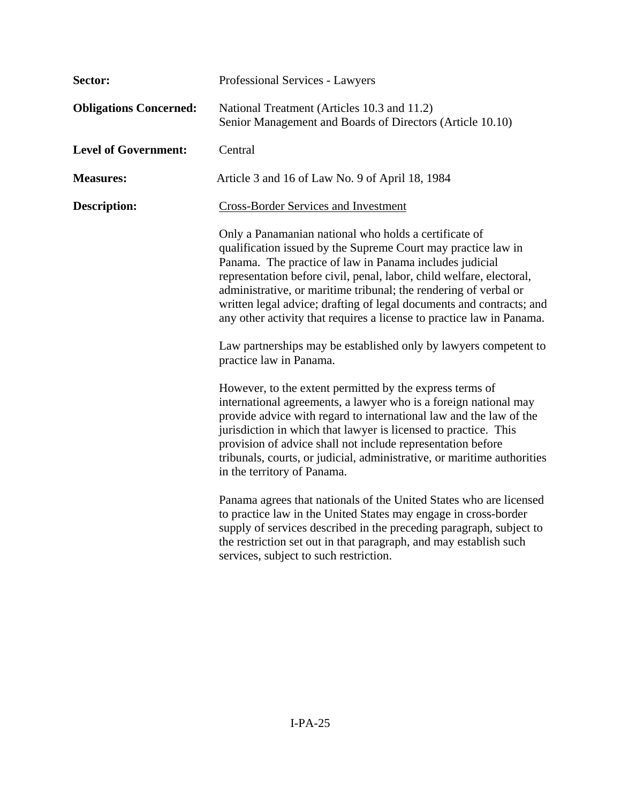| Sector:                       | Professional Services - Lawyers                                                                                                                                                                                                                                                                                                                                                                                                                                                                                                                                               |  |  |
|-------------------------------|-------------------------------------------------------------------------------------------------------------------------------------------------------------------------------------------------------------------------------------------------------------------------------------------------------------------------------------------------------------------------------------------------------------------------------------------------------------------------------------------------------------------------------------------------------------------------------|--|--|
| <b>Obligations Concerned:</b> | National Treatment (Articles 10.3 and 11.2)<br>Senior Management and Boards of Directors (Article 10.10)                                                                                                                                                                                                                                                                                                                                                                                                                                                                      |  |  |
| <b>Level of Government:</b>   | Central                                                                                                                                                                                                                                                                                                                                                                                                                                                                                                                                                                       |  |  |
| <b>Measures:</b>              | Article 3 and 16 of Law No. 9 of April 18, 1984                                                                                                                                                                                                                                                                                                                                                                                                                                                                                                                               |  |  |
| <b>Description:</b>           | <b>Cross-Border Services and Investment</b>                                                                                                                                                                                                                                                                                                                                                                                                                                                                                                                                   |  |  |
|                               | Only a Panamanian national who holds a certificate of<br>qualification issued by the Supreme Court may practice law in<br>Panama. The practice of law in Panama includes judicial<br>representation before civil, penal, labor, child welfare, electoral,<br>administrative, or maritime tribunal; the rendering of verbal or<br>written legal advice; drafting of legal documents and contracts; and<br>any other activity that requires a license to practice law in Panama.<br>Law partnerships may be established only by lawyers competent to<br>practice law in Panama. |  |  |
|                               | However, to the extent permitted by the express terms of<br>international agreements, a lawyer who is a foreign national may<br>provide advice with regard to international law and the law of the<br>jurisdiction in which that lawyer is licensed to practice. This<br>provision of advice shall not include representation before<br>tribunals, courts, or judicial, administrative, or maritime authorities<br>in the territory of Panama.                                                                                                                                |  |  |
|                               | Panama agrees that nationals of the United States who are licensed<br>to practice law in the United States may engage in cross-border<br>supply of services described in the preceding paragraph, subject to<br>the restriction set out in that paragraph, and may establish such<br>services, subject to such restriction.                                                                                                                                                                                                                                                   |  |  |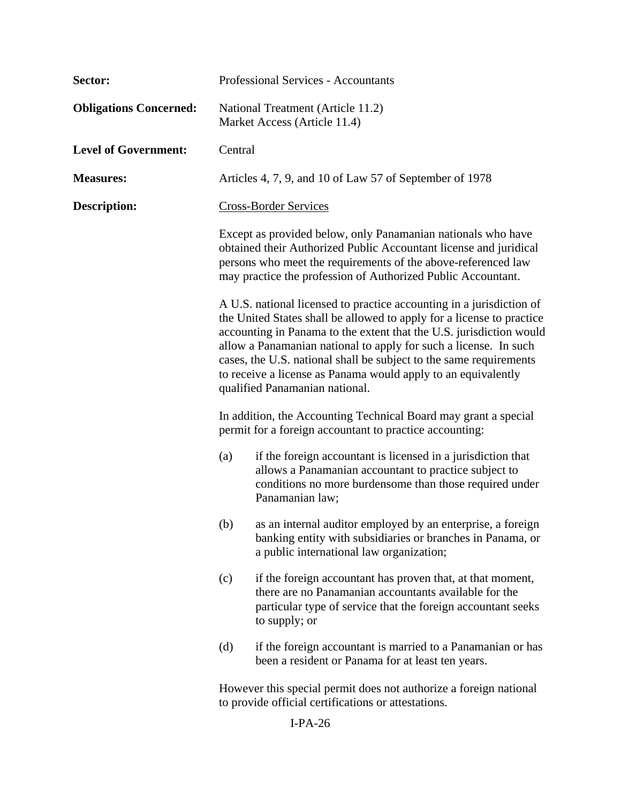| Sector:                       | <b>Professional Services - Accountants</b>                                                                                                                                                                                                                                                                                                                                                                                                                                                                               |                                                                                                                                                                                                      |  |
|-------------------------------|--------------------------------------------------------------------------------------------------------------------------------------------------------------------------------------------------------------------------------------------------------------------------------------------------------------------------------------------------------------------------------------------------------------------------------------------------------------------------------------------------------------------------|------------------------------------------------------------------------------------------------------------------------------------------------------------------------------------------------------|--|
| <b>Obligations Concerned:</b> | National Treatment (Article 11.2)<br>Market Access (Article 11.4)                                                                                                                                                                                                                                                                                                                                                                                                                                                        |                                                                                                                                                                                                      |  |
| <b>Level of Government:</b>   | Central                                                                                                                                                                                                                                                                                                                                                                                                                                                                                                                  |                                                                                                                                                                                                      |  |
| <b>Measures:</b>              | Articles 4, 7, 9, and 10 of Law 57 of September of 1978                                                                                                                                                                                                                                                                                                                                                                                                                                                                  |                                                                                                                                                                                                      |  |
| Description:                  | <b>Cross-Border Services</b><br>Except as provided below, only Panamanian nationals who have<br>obtained their Authorized Public Accountant license and juridical<br>persons who meet the requirements of the above-referenced law<br>may practice the profession of Authorized Public Accountant.                                                                                                                                                                                                                       |                                                                                                                                                                                                      |  |
|                               |                                                                                                                                                                                                                                                                                                                                                                                                                                                                                                                          |                                                                                                                                                                                                      |  |
|                               | A U.S. national licensed to practice accounting in a jurisdiction of<br>the United States shall be allowed to apply for a license to practice<br>accounting in Panama to the extent that the U.S. jurisdiction would<br>allow a Panamanian national to apply for such a license. In such<br>cases, the U.S. national shall be subject to the same requirements<br>to receive a license as Panama would apply to an equivalently<br>qualified Panamanian national.                                                        |                                                                                                                                                                                                      |  |
|                               | In addition, the Accounting Technical Board may grant a special<br>permit for a foreign accountant to practice accounting:<br>if the foreign accountant is licensed in a jurisdiction that<br>(a)<br>allows a Panamanian accountant to practice subject to<br>conditions no more burdensome than those required under<br>Panamanian law;<br>as an internal auditor employed by an enterprise, a foreign<br>(b)<br>banking entity with subsidiaries or branches in Panama, or<br>a public international law organization; |                                                                                                                                                                                                      |  |
|                               |                                                                                                                                                                                                                                                                                                                                                                                                                                                                                                                          |                                                                                                                                                                                                      |  |
|                               |                                                                                                                                                                                                                                                                                                                                                                                                                                                                                                                          |                                                                                                                                                                                                      |  |
|                               | (c)                                                                                                                                                                                                                                                                                                                                                                                                                                                                                                                      | if the foreign accountant has proven that, at that moment,<br>there are no Panamanian accountants available for the<br>particular type of service that the foreign accountant seeks<br>to supply; or |  |
|                               | (d)                                                                                                                                                                                                                                                                                                                                                                                                                                                                                                                      | if the foreign accountant is married to a Panamanian or has<br>been a resident or Panama for at least ten years.                                                                                     |  |
|                               |                                                                                                                                                                                                                                                                                                                                                                                                                                                                                                                          | However this special permit does not authorize a foreign national<br>to provide official certifications or attestations.                                                                             |  |

I-PA-26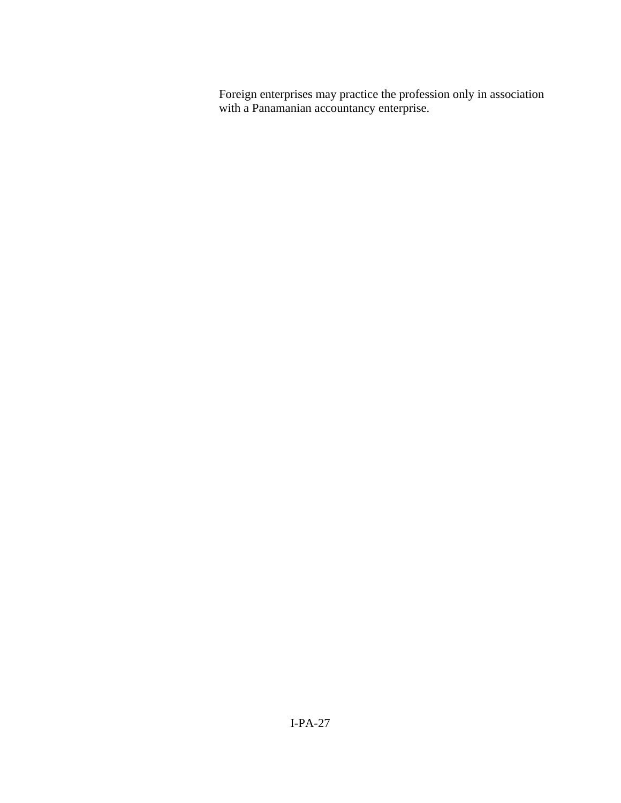Foreign enterprises may practice the profession only in association with a Panamanian accountancy enterprise.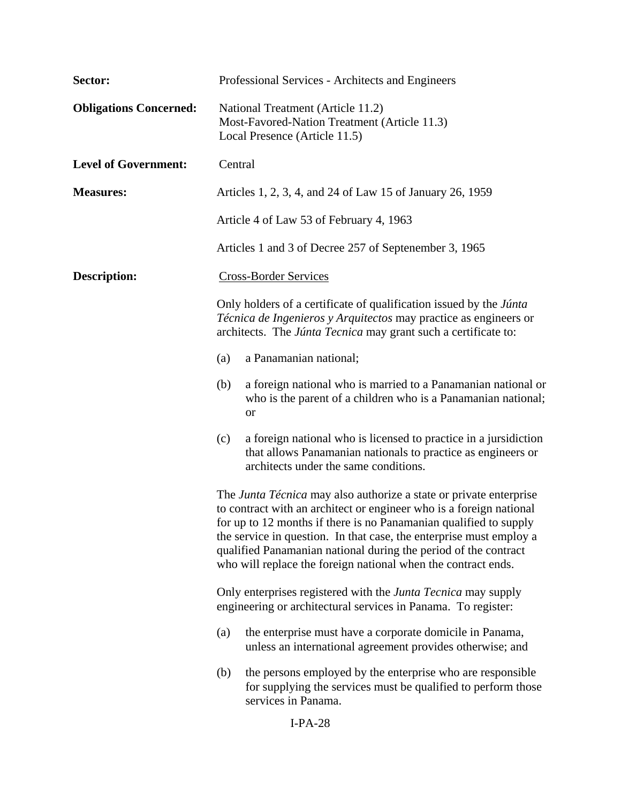| Sector:                       | Professional Services - Architects and Engineers                                                                                                                                                                                                                                                                                                                                                                          |
|-------------------------------|---------------------------------------------------------------------------------------------------------------------------------------------------------------------------------------------------------------------------------------------------------------------------------------------------------------------------------------------------------------------------------------------------------------------------|
| <b>Obligations Concerned:</b> | National Treatment (Article 11.2)<br>Most-Favored-Nation Treatment (Article 11.3)<br>Local Presence (Article 11.5)                                                                                                                                                                                                                                                                                                        |
| <b>Level of Government:</b>   | Central                                                                                                                                                                                                                                                                                                                                                                                                                   |
| <b>Measures:</b>              | Articles 1, 2, 3, 4, and 24 of Law 15 of January 26, 1959                                                                                                                                                                                                                                                                                                                                                                 |
|                               | Article 4 of Law 53 of February 4, 1963                                                                                                                                                                                                                                                                                                                                                                                   |
|                               | Articles 1 and 3 of Decree 257 of Septenember 3, 1965                                                                                                                                                                                                                                                                                                                                                                     |
| <b>Description:</b>           | <b>Cross-Border Services</b>                                                                                                                                                                                                                                                                                                                                                                                              |
|                               | Only holders of a certificate of qualification issued by the <i>Júnta</i><br>Técnica de Ingenieros y Arquitectos may practice as engineers or<br>architects. The Júnta Tecnica may grant such a certificate to:                                                                                                                                                                                                           |
|                               | a Panamanian national;<br>(a)                                                                                                                                                                                                                                                                                                                                                                                             |
|                               | a foreign national who is married to a Panamanian national or<br>(b)<br>who is the parent of a children who is a Panamanian national;<br><b>or</b>                                                                                                                                                                                                                                                                        |
|                               | a foreign national who is licensed to practice in a jursidiction<br>(c)<br>that allows Panamanian nationals to practice as engineers or<br>architects under the same conditions.                                                                                                                                                                                                                                          |
|                               | The Junta Técnica may also authorize a state or private enterprise<br>to contract with an architect or engineer who is a foreign national<br>for up to 12 months if there is no Panamanian qualified to supply<br>the service in question. In that case, the enterprise must employ a<br>qualified Panamanian national during the period of the contract<br>who will replace the foreign national when the contract ends. |
|                               | Only enterprises registered with the <i>Junta Tecnica</i> may supply<br>engineering or architectural services in Panama. To register:                                                                                                                                                                                                                                                                                     |
|                               | (a)<br>the enterprise must have a corporate domicile in Panama,<br>unless an international agreement provides otherwise; and                                                                                                                                                                                                                                                                                              |
|                               | the persons employed by the enterprise who are responsible<br>(b)<br>for supplying the services must be qualified to perform those<br>services in Panama.                                                                                                                                                                                                                                                                 |
|                               | $I-PA-28$                                                                                                                                                                                                                                                                                                                                                                                                                 |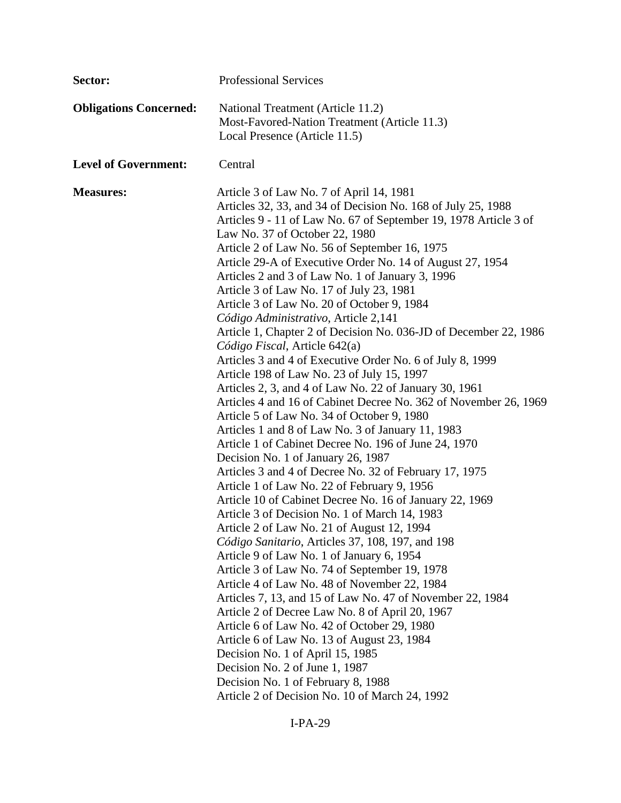| Sector:                       | <b>Professional Services</b>                                                                                                                                                                                                                                                                                                                                                                                                                                                                                                                                                                                                                                                                                                                                                                                                                                                                                                                                                                                                                                                                                                                                                                                                                                                                                                                                                                                                                                                                                                                                                                                                                                                                                                                                                                                                                                                                                      |
|-------------------------------|-------------------------------------------------------------------------------------------------------------------------------------------------------------------------------------------------------------------------------------------------------------------------------------------------------------------------------------------------------------------------------------------------------------------------------------------------------------------------------------------------------------------------------------------------------------------------------------------------------------------------------------------------------------------------------------------------------------------------------------------------------------------------------------------------------------------------------------------------------------------------------------------------------------------------------------------------------------------------------------------------------------------------------------------------------------------------------------------------------------------------------------------------------------------------------------------------------------------------------------------------------------------------------------------------------------------------------------------------------------------------------------------------------------------------------------------------------------------------------------------------------------------------------------------------------------------------------------------------------------------------------------------------------------------------------------------------------------------------------------------------------------------------------------------------------------------------------------------------------------------------------------------------------------------|
| <b>Obligations Concerned:</b> | National Treatment (Article 11.2)<br>Most-Favored-Nation Treatment (Article 11.3)<br>Local Presence (Article 11.5)                                                                                                                                                                                                                                                                                                                                                                                                                                                                                                                                                                                                                                                                                                                                                                                                                                                                                                                                                                                                                                                                                                                                                                                                                                                                                                                                                                                                                                                                                                                                                                                                                                                                                                                                                                                                |
| <b>Level of Government:</b>   | Central                                                                                                                                                                                                                                                                                                                                                                                                                                                                                                                                                                                                                                                                                                                                                                                                                                                                                                                                                                                                                                                                                                                                                                                                                                                                                                                                                                                                                                                                                                                                                                                                                                                                                                                                                                                                                                                                                                           |
| <b>Measures:</b>              | Article 3 of Law No. 7 of April 14, 1981<br>Articles 32, 33, and 34 of Decision No. 168 of July 25, 1988<br>Articles 9 - 11 of Law No. 67 of September 19, 1978 Article 3 of<br>Law No. 37 of October 22, 1980<br>Article 2 of Law No. 56 of September 16, 1975<br>Article 29-A of Executive Order No. 14 of August 27, 1954<br>Articles 2 and 3 of Law No. 1 of January 3, 1996<br>Article 3 of Law No. 17 of July 23, 1981<br>Article 3 of Law No. 20 of October 9, 1984<br>Código Administrativo, Article 2,141<br>Article 1, Chapter 2 of Decision No. 036-JD of December 22, 1986<br>Código Fiscal, Article 642(a)<br>Articles 3 and 4 of Executive Order No. 6 of July 8, 1999<br>Article 198 of Law No. 23 of July 15, 1997<br>Articles 2, 3, and 4 of Law No. 22 of January 30, 1961<br>Articles 4 and 16 of Cabinet Decree No. 362 of November 26, 1969<br>Article 5 of Law No. 34 of October 9, 1980<br>Articles 1 and 8 of Law No. 3 of January 11, 1983<br>Article 1 of Cabinet Decree No. 196 of June 24, 1970<br>Decision No. 1 of January 26, 1987<br>Articles 3 and 4 of Decree No. 32 of February 17, 1975<br>Article 1 of Law No. 22 of February 9, 1956<br>Article 10 of Cabinet Decree No. 16 of January 22, 1969<br>Article 3 of Decision No. 1 of March 14, 1983<br>Article 2 of Law No. 21 of August 12, 1994<br>Código Sanitario, Articles 37, 108, 197, and 198<br>Article 9 of Law No. 1 of January 6, 1954<br>Article 3 of Law No. 74 of September 19, 1978<br>Article 4 of Law No. 48 of November 22, 1984<br>Articles 7, 13, and 15 of Law No. 47 of November 22, 1984<br>Article 2 of Decree Law No. 8 of April 20, 1967<br>Article 6 of Law No. 42 of October 29, 1980<br>Article 6 of Law No. 13 of August 23, 1984<br>Decision No. 1 of April 15, 1985<br>Decision No. 2 of June 1, 1987<br>Decision No. 1 of February 8, 1988<br>Article 2 of Decision No. 10 of March 24, 1992 |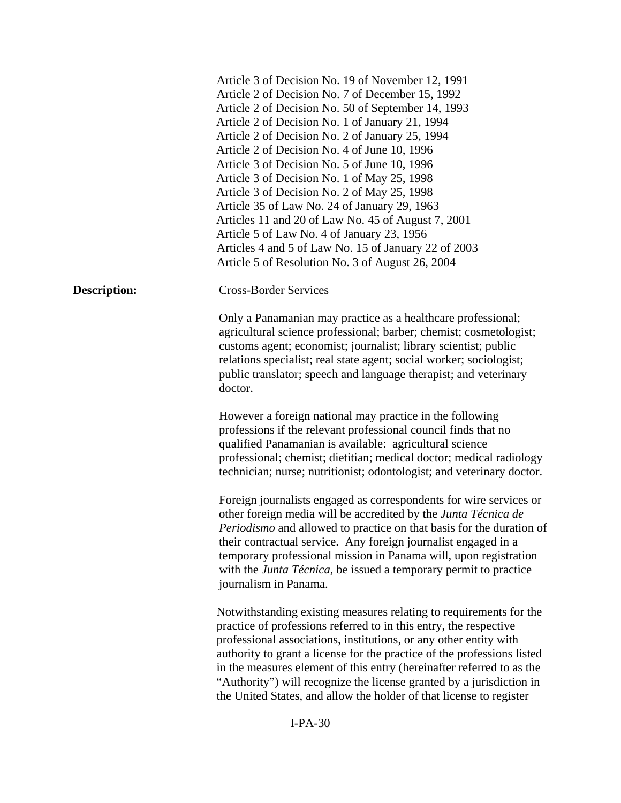|                     | Article 3 of Decision No. 19 of November 12, 1991<br>Article 2 of Decision No. 7 of December 15, 1992<br>Article 2 of Decision No. 50 of September 14, 1993<br>Article 2 of Decision No. 1 of January 21, 1994<br>Article 2 of Decision No. 2 of January 25, 1994<br>Article 2 of Decision No. 4 of June 10, 1996<br>Article 3 of Decision No. 5 of June 10, 1996<br>Article 3 of Decision No. 1 of May 25, 1998<br>Article 3 of Decision No. 2 of May 25, 1998<br>Article 35 of Law No. 24 of January 29, 1963<br>Articles 11 and 20 of Law No. 45 of August 7, 2001<br>Article 5 of Law No. 4 of January 23, 1956<br>Articles 4 and 5 of Law No. 15 of January 22 of 2003 |
|---------------------|-----------------------------------------------------------------------------------------------------------------------------------------------------------------------------------------------------------------------------------------------------------------------------------------------------------------------------------------------------------------------------------------------------------------------------------------------------------------------------------------------------------------------------------------------------------------------------------------------------------------------------------------------------------------------------|
|                     | Article 5 of Resolution No. 3 of August 26, 2004                                                                                                                                                                                                                                                                                                                                                                                                                                                                                                                                                                                                                            |
| <b>Description:</b> | <b>Cross-Border Services</b>                                                                                                                                                                                                                                                                                                                                                                                                                                                                                                                                                                                                                                                |
|                     | Only a Panamanian may practice as a healthcare professional;<br>agricultural science professional; barber; chemist; cosmetologist;<br>customs agent; economist; journalist; library scientist; public<br>relations specialist; real state agent; social worker; sociologist;<br>public translator; speech and language therapist; and veterinary<br>doctor.                                                                                                                                                                                                                                                                                                                 |
|                     | However a foreign national may practice in the following<br>professions if the relevant professional council finds that no<br>qualified Panamanian is available: agricultural science<br>professional; chemist; dietitian; medical doctor; medical radiology<br>technician; nurse; nutritionist; odontologist; and veterinary doctor.                                                                                                                                                                                                                                                                                                                                       |
|                     | Foreign journalists engaged as correspondents for wire services or<br>other foreign media will be accredited by the Junta Técnica de<br><i>Periodismo</i> and allowed to practice on that basis for the duration of<br>their contractual service. Any foreign journalist engaged in a<br>temporary professional mission in Panama will, upon registration<br>with the <i>Junta Técnica</i> , be issued a temporary permit to practice<br>journalism in Panama.                                                                                                                                                                                                              |
|                     | Notwithstanding existing measures relating to requirements for the<br>practice of professions referred to in this entry, the respective<br>professional associations, institutions, or any other entity with<br>authority to grant a license for the practice of the professions listed<br>in the measures element of this entry (hereinafter referred to as the<br>"Authority") will recognize the license granted by a jurisdiction in<br>the United States, and allow the holder of that license to register                                                                                                                                                             |
| $I-PA-30$           |                                                                                                                                                                                                                                                                                                                                                                                                                                                                                                                                                                                                                                                                             |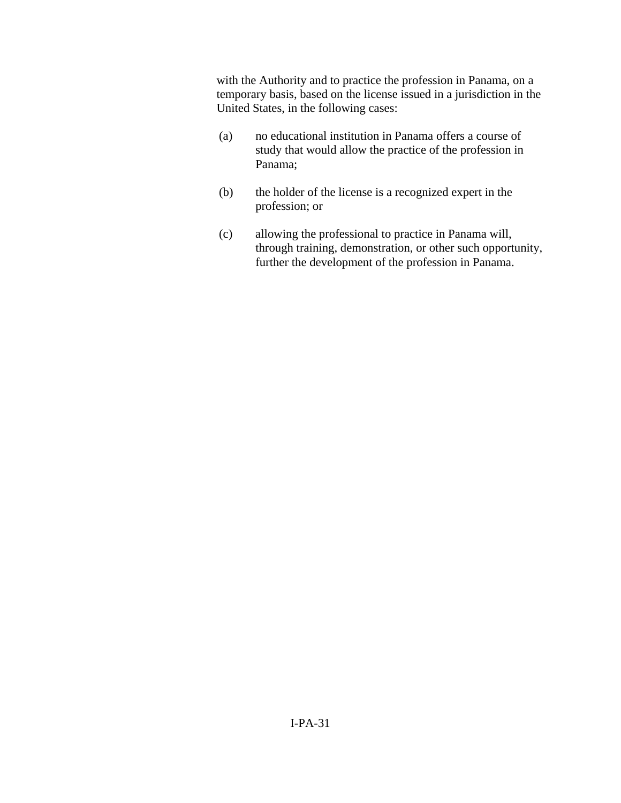with the Authority and to practice the profession in Panama, on a temporary basis, based on the license issued in a jurisdiction in the United States, in the following cases:

- (a) no educational institution in Panama offers a course of study that would allow the practice of the profession in Panama;
- (b) the holder of the license is a recognized expert in the profession; or
- (c) allowing the professional to practice in Panama will, through training, demonstration, or other such opportunity, further the development of the profession in Panama.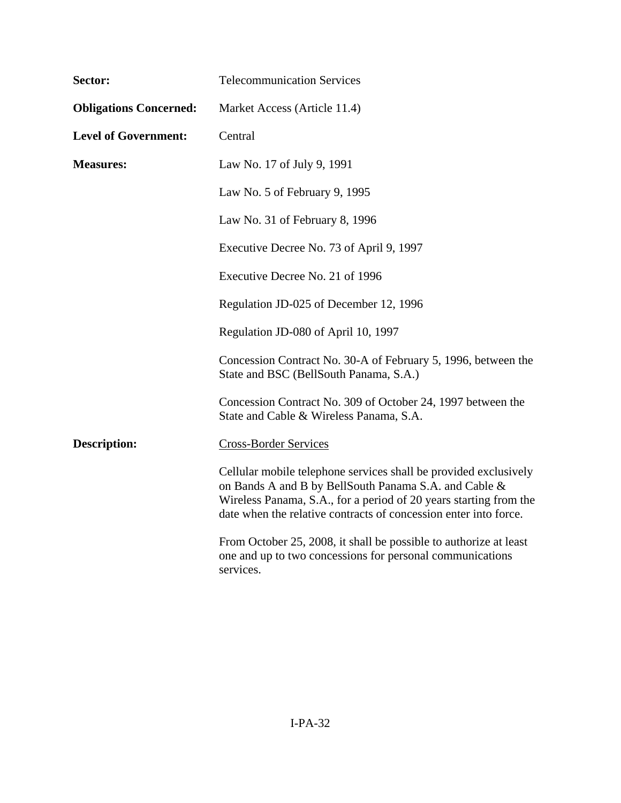| Sector:                       | <b>Telecommunication Services</b>                                                                                                                                                                                                                                  |
|-------------------------------|--------------------------------------------------------------------------------------------------------------------------------------------------------------------------------------------------------------------------------------------------------------------|
| <b>Obligations Concerned:</b> | Market Access (Article 11.4)                                                                                                                                                                                                                                       |
| <b>Level of Government:</b>   | Central                                                                                                                                                                                                                                                            |
| <b>Measures:</b>              | Law No. 17 of July 9, 1991                                                                                                                                                                                                                                         |
|                               | Law No. 5 of February 9, 1995                                                                                                                                                                                                                                      |
|                               | Law No. 31 of February 8, 1996                                                                                                                                                                                                                                     |
|                               | Executive Decree No. 73 of April 9, 1997                                                                                                                                                                                                                           |
|                               | Executive Decree No. 21 of 1996                                                                                                                                                                                                                                    |
|                               | Regulation JD-025 of December 12, 1996                                                                                                                                                                                                                             |
|                               | Regulation JD-080 of April 10, 1997                                                                                                                                                                                                                                |
|                               | Concession Contract No. 30-A of February 5, 1996, between the<br>State and BSC (BellSouth Panama, S.A.)                                                                                                                                                            |
|                               | Concession Contract No. 309 of October 24, 1997 between the<br>State and Cable & Wireless Panama, S.A.                                                                                                                                                             |
| <b>Description:</b>           | <b>Cross-Border Services</b>                                                                                                                                                                                                                                       |
|                               | Cellular mobile telephone services shall be provided exclusively<br>on Bands A and B by BellSouth Panama S.A. and Cable &<br>Wireless Panama, S.A., for a period of 20 years starting from the<br>date when the relative contracts of concession enter into force. |
|                               | From October 25, 2008, it shall be possible to authorize at least<br>one and up to two concessions for personal communications<br>services.                                                                                                                        |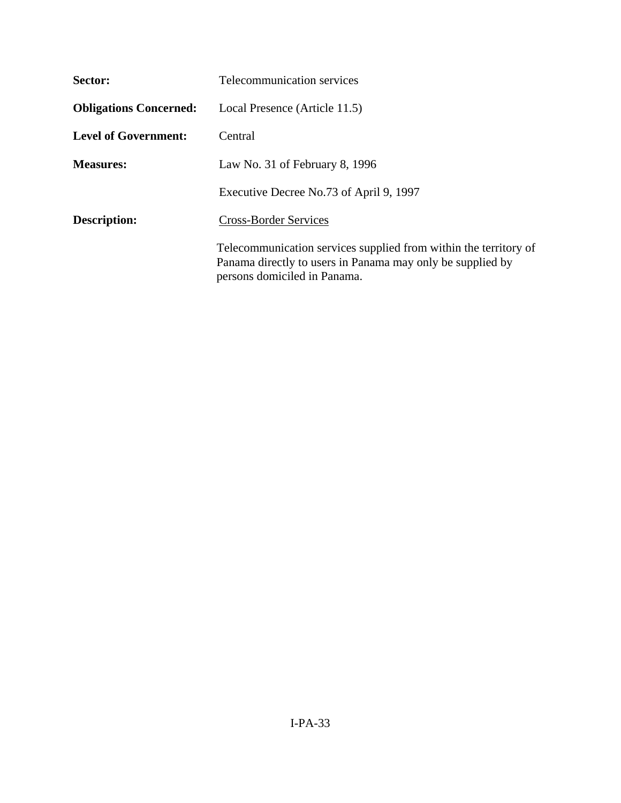| Sector:                       | Telecommunication services                                                                                                                                     |
|-------------------------------|----------------------------------------------------------------------------------------------------------------------------------------------------------------|
| <b>Obligations Concerned:</b> | Local Presence (Article 11.5)                                                                                                                                  |
| <b>Level of Government:</b>   | Central                                                                                                                                                        |
| <b>Measures:</b>              | Law No. 31 of February 8, $1996$                                                                                                                               |
|                               | Executive Decree No.73 of April 9, 1997                                                                                                                        |
| Description:                  | <b>Cross-Border Services</b>                                                                                                                                   |
|                               | Telecommunication services supplied from within the territory of<br>Panama directly to users in Panama may only be supplied by<br>persons domiciled in Panama. |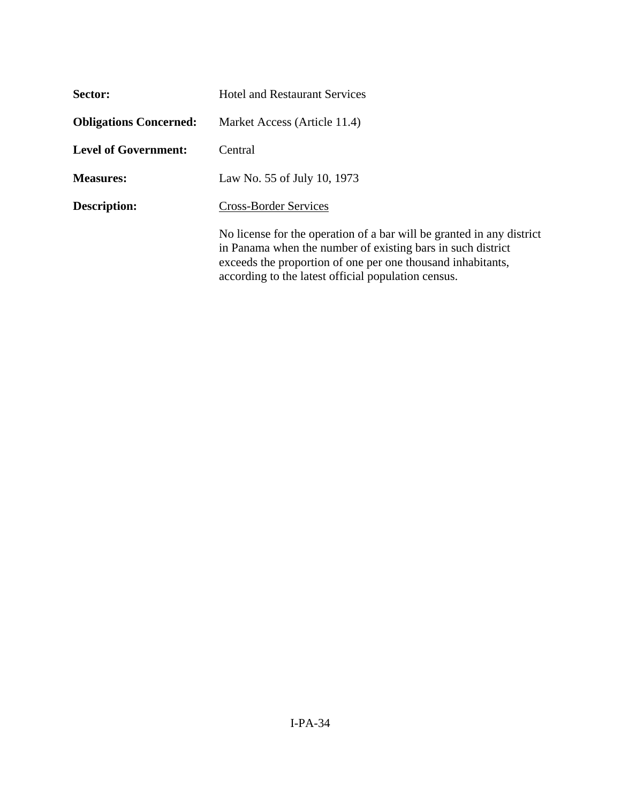| Sector:                       | <b>Hotel and Restaurant Services</b>                                                                                                                                                                                                                       |
|-------------------------------|------------------------------------------------------------------------------------------------------------------------------------------------------------------------------------------------------------------------------------------------------------|
| <b>Obligations Concerned:</b> | Market Access (Article 11.4)                                                                                                                                                                                                                               |
| <b>Level of Government:</b>   | Central                                                                                                                                                                                                                                                    |
| <b>Measures:</b>              | Law No. 55 of July 10, 1973                                                                                                                                                                                                                                |
| Description:                  | <b>Cross-Border Services</b>                                                                                                                                                                                                                               |
|                               | No license for the operation of a bar will be granted in any district<br>in Panama when the number of existing bars in such district<br>exceeds the proportion of one per one thousand inhabitants,<br>according to the latest official population census. |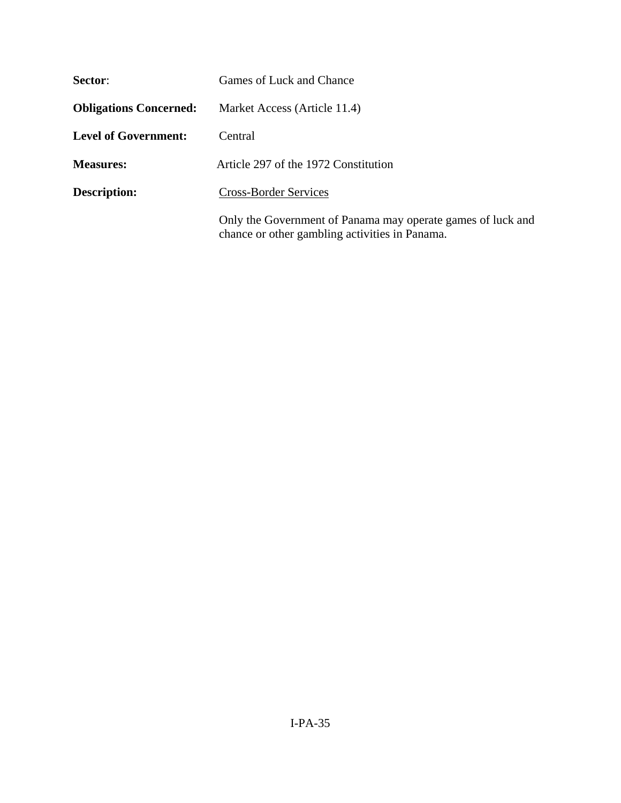| Sector:                       | Games of Luck and Chance                                                                                      |
|-------------------------------|---------------------------------------------------------------------------------------------------------------|
| <b>Obligations Concerned:</b> | Market Access (Article 11.4)                                                                                  |
| <b>Level of Government:</b>   | Central                                                                                                       |
| <b>Measures:</b>              | Article 297 of the 1972 Constitution                                                                          |
| <b>Description:</b>           | <b>Cross-Border Services</b>                                                                                  |
|                               | Only the Government of Panama may operate games of luck and<br>chance or other gambling activities in Panama. |